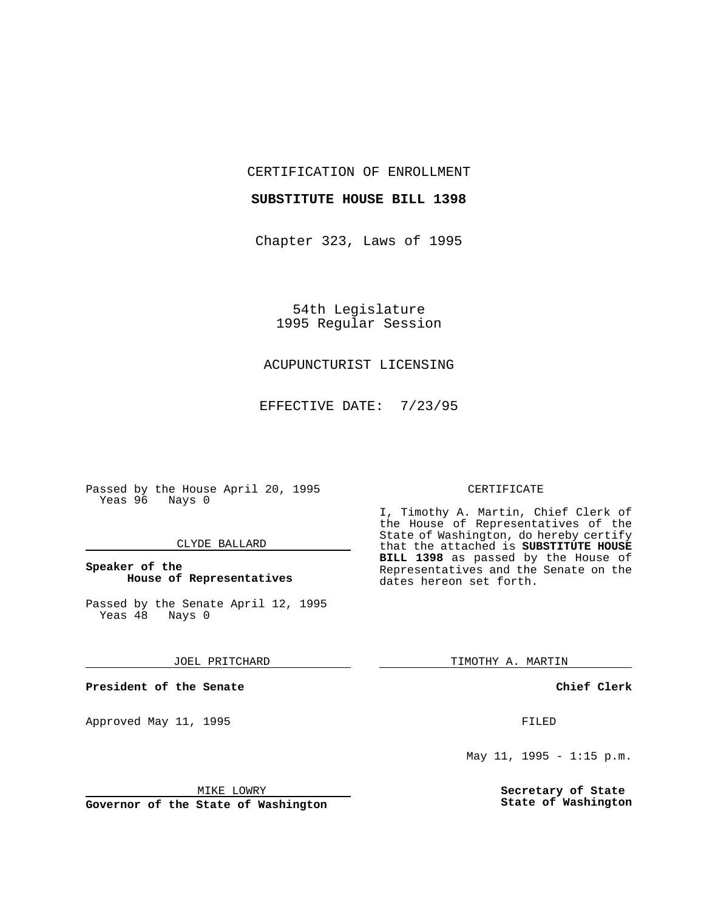CERTIFICATION OF ENROLLMENT

#### **SUBSTITUTE HOUSE BILL 1398**

Chapter 323, Laws of 1995

54th Legislature 1995 Regular Session

# ACUPUNCTURIST LICENSING

EFFECTIVE DATE: 7/23/95

Passed by the House April 20, 1995 Yeas 96 Nays 0

## CLYDE BALLARD

## **Speaker of the House of Representatives**

Passed by the Senate April 12, 1995<br>Yeas 48 Nays 0 Yeas 48

#### JOEL PRITCHARD

**President of the Senate**

Approved May 11, 1995 FILED

MIKE LOWRY

**Governor of the State of Washington**

#### CERTIFICATE

I, Timothy A. Martin, Chief Clerk of the House of Representatives of the State of Washington, do hereby certify that the attached is **SUBSTITUTE HOUSE BILL 1398** as passed by the House of Representatives and the Senate on the dates hereon set forth.

TIMOTHY A. MARTIN

## **Chief Clerk**

May 11, 1995 - 1:15 p.m.

**Secretary of State State of Washington**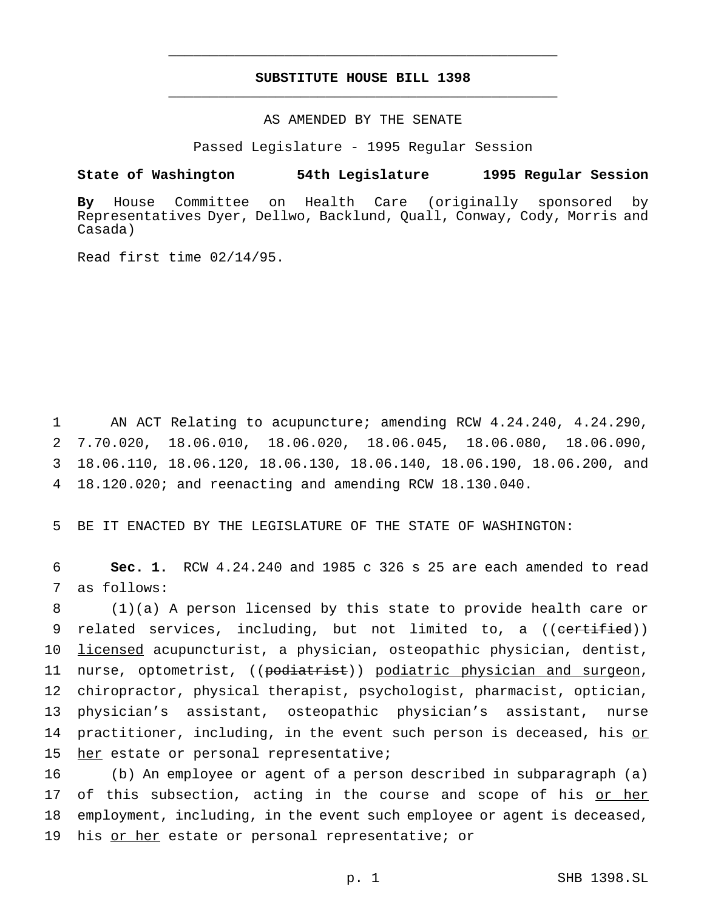# **SUBSTITUTE HOUSE BILL 1398** \_\_\_\_\_\_\_\_\_\_\_\_\_\_\_\_\_\_\_\_\_\_\_\_\_\_\_\_\_\_\_\_\_\_\_\_\_\_\_\_\_\_\_\_\_\_\_

\_\_\_\_\_\_\_\_\_\_\_\_\_\_\_\_\_\_\_\_\_\_\_\_\_\_\_\_\_\_\_\_\_\_\_\_\_\_\_\_\_\_\_\_\_\_\_

## AS AMENDED BY THE SENATE

Passed Legislature - 1995 Regular Session

#### **State of Washington 54th Legislature 1995 Regular Session**

**By** House Committee on Health Care (originally sponsored by Representatives Dyer, Dellwo, Backlund, Quall, Conway, Cody, Morris and Casada)

Read first time 02/14/95.

 AN ACT Relating to acupuncture; amending RCW 4.24.240, 4.24.290, 7.70.020, 18.06.010, 18.06.020, 18.06.045, 18.06.080, 18.06.090, 18.06.110, 18.06.120, 18.06.130, 18.06.140, 18.06.190, 18.06.200, and 18.120.020; and reenacting and amending RCW 18.130.040.

5 BE IT ENACTED BY THE LEGISLATURE OF THE STATE OF WASHINGTON:

6 **Sec. 1.** RCW 4.24.240 and 1985 c 326 s 25 are each amended to read 7 as follows:

8 (1)(a) A person licensed by this state to provide health care or 9 related services, including, but not limited to, a ((certified)) 10 licensed acupuncturist, a physician, osteopathic physician, dentist, 11 nurse, optometrist, ((podiatrist)) podiatric physician and surgeon, 12 chiropractor, physical therapist, psychologist, pharmacist, optician, 13 physician's assistant, osteopathic physician's assistant, nurse 14 practitioner, including, in the event such person is deceased, his or 15 her estate or personal representative;

16 (b) An employee or agent of a person described in subparagraph (a) 17 of this subsection, acting in the course and scope of his or her 18 employment, including, in the event such employee or agent is deceased, 19 his or her estate or personal representative; or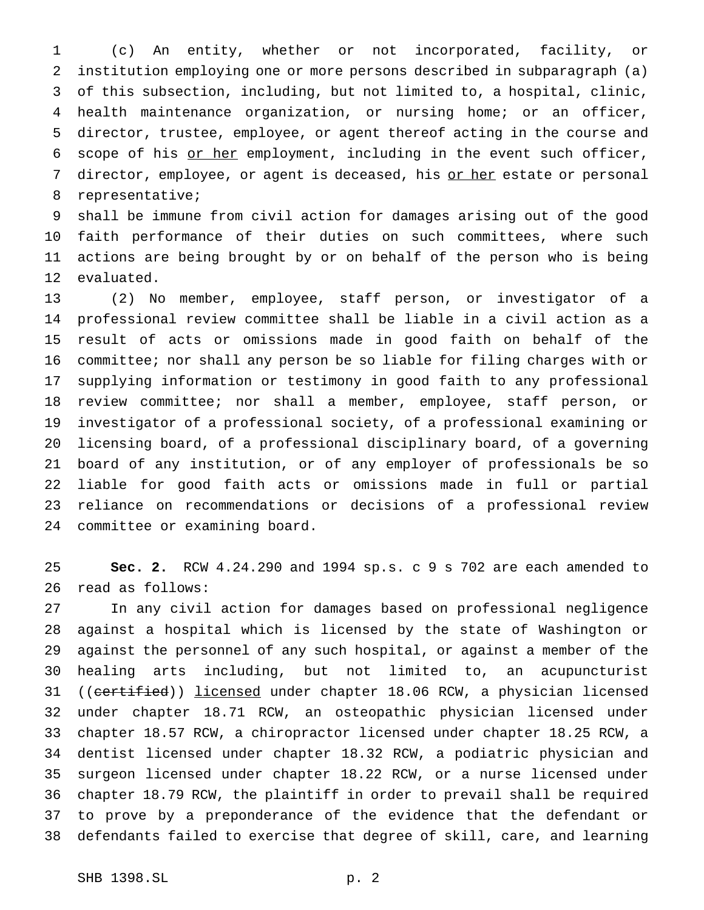(c) An entity, whether or not incorporated, facility, or institution employing one or more persons described in subparagraph (a) of this subsection, including, but not limited to, a hospital, clinic, health maintenance organization, or nursing home; or an officer, director, trustee, employee, or agent thereof acting in the course and 6 scope of his <u>or her</u> employment, including in the event such officer, 7 director, employee, or agent is deceased, his or her estate or personal representative;

 shall be immune from civil action for damages arising out of the good faith performance of their duties on such committees, where such actions are being brought by or on behalf of the person who is being evaluated.

 (2) No member, employee, staff person, or investigator of a professional review committee shall be liable in a civil action as a result of acts or omissions made in good faith on behalf of the committee; nor shall any person be so liable for filing charges with or supplying information or testimony in good faith to any professional review committee; nor shall a member, employee, staff person, or investigator of a professional society, of a professional examining or licensing board, of a professional disciplinary board, of a governing board of any institution, or of any employer of professionals be so liable for good faith acts or omissions made in full or partial reliance on recommendations or decisions of a professional review committee or examining board.

 **Sec. 2.** RCW 4.24.290 and 1994 sp.s. c 9 s 702 are each amended to read as follows:

 In any civil action for damages based on professional negligence against a hospital which is licensed by the state of Washington or against the personnel of any such hospital, or against a member of the healing arts including, but not limited to, an acupuncturist 31 ((certified)) licensed under chapter 18.06 RCW, a physician licensed under chapter 18.71 RCW, an osteopathic physician licensed under chapter 18.57 RCW, a chiropractor licensed under chapter 18.25 RCW, a dentist licensed under chapter 18.32 RCW, a podiatric physician and surgeon licensed under chapter 18.22 RCW, or a nurse licensed under chapter 18.79 RCW, the plaintiff in order to prevail shall be required to prove by a preponderance of the evidence that the defendant or defendants failed to exercise that degree of skill, care, and learning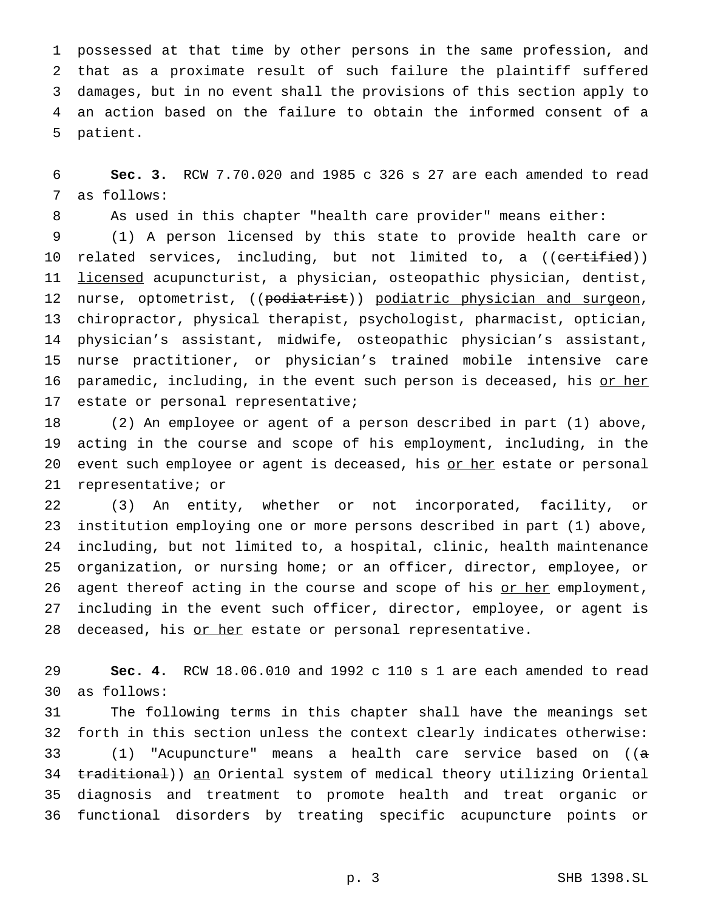possessed at that time by other persons in the same profession, and that as a proximate result of such failure the plaintiff suffered damages, but in no event shall the provisions of this section apply to an action based on the failure to obtain the informed consent of a patient.

 **Sec. 3.** RCW 7.70.020 and 1985 c 326 s 27 are each amended to read as follows:

As used in this chapter "health care provider" means either:

 (1) A person licensed by this state to provide health care or 10 related services, including, but not limited to, a ((<del>certified</del>)) 11 licensed acupuncturist, a physician, osteopathic physician, dentist, 12 nurse, optometrist, ((podiatrist)) podiatric physician and surgeon, chiropractor, physical therapist, psychologist, pharmacist, optician, physician's assistant, midwife, osteopathic physician's assistant, nurse practitioner, or physician's trained mobile intensive care 16 paramedic, including, in the event such person is deceased, his or her estate or personal representative;

 (2) An employee or agent of a person described in part (1) above, acting in the course and scope of his employment, including, in the 20 event such employee or agent is deceased, his or her estate or personal representative; or

 (3) An entity, whether or not incorporated, facility, or institution employing one or more persons described in part (1) above, including, but not limited to, a hospital, clinic, health maintenance organization, or nursing home; or an officer, director, employee, or 26 agent thereof acting in the course and scope of his or her employment, including in the event such officer, director, employee, or agent is 28 deceased, his or her estate or personal representative.

 **Sec. 4.** RCW 18.06.010 and 1992 c 110 s 1 are each amended to read as follows:

 The following terms in this chapter shall have the meanings set forth in this section unless the context clearly indicates otherwise: (1) "Acupuncture" means a health care service based on ((a 34 traditional)) an Oriental system of medical theory utilizing Oriental diagnosis and treatment to promote health and treat organic or functional disorders by treating specific acupuncture points or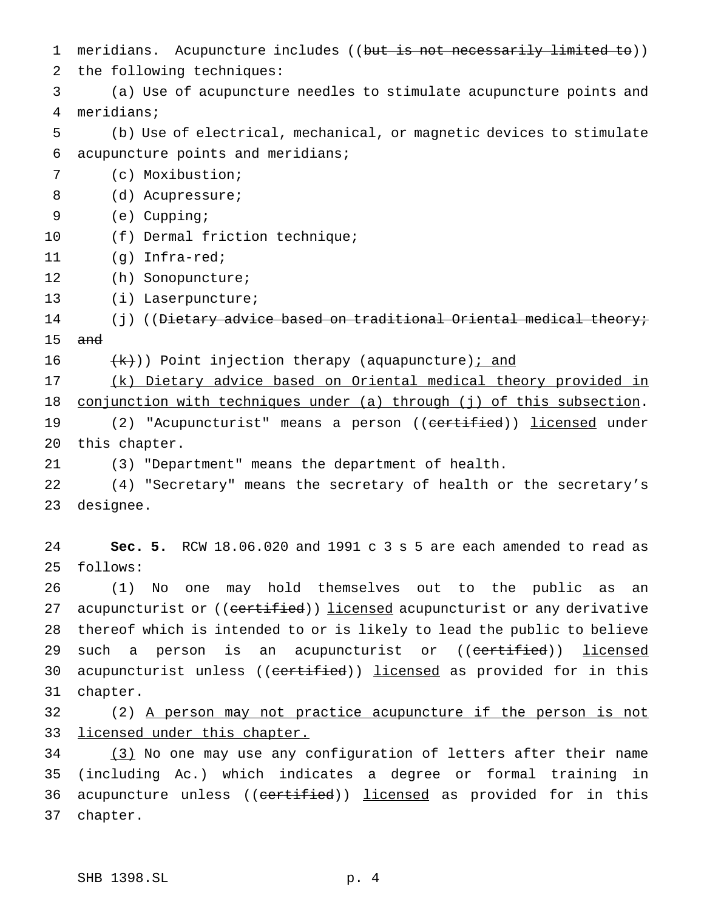1 meridians. Acupuncture includes ((but is not necessarily limited to)) the following techniques: (a) Use of acupuncture needles to stimulate acupuncture points and meridians; (b) Use of electrical, mechanical, or magnetic devices to stimulate acupuncture points and meridians; (c) Moxibustion; 8 (d) Acupressure; (e) Cupping; 10 (f) Dermal friction technique; (g) Infra-red; (h) Sonopuncture; (i) Laserpuncture; 14 (j) ((<del>Dietary advice based on traditional Oriental medical theory;</del> and 16  $(k)$ ) Point injection therapy (aquapuncture) *i* and (k) Dietary advice based on Oriental medical theory provided in 18 conjunction with techniques under (a) through (j) of this subsection. 19 (2) "Acupuncturist" means a person ((certified)) licensed under this chapter. (3) "Department" means the department of health. (4) "Secretary" means the secretary of health or the secretary's designee. **Sec. 5.** RCW 18.06.020 and 1991 c 3 s 5 are each amended to read as follows: (1) No one may hold themselves out to the public as an 27 acupuncturist or ((certified)) licensed acupuncturist or any derivative thereof which is intended to or is likely to lead the public to believe 29 such a person is an acupuncturist or ((certified)) licensed 30 acupuncturist unless ((certified)) licensed as provided for in this chapter. (2) A person may not practice acupuncture if the person is not 33 licensed under this chapter. (3) No one may use any configuration of letters after their name (including Ac.) which indicates a degree or formal training in 36 acupuncture unless ((certified)) licensed as provided for in this chapter.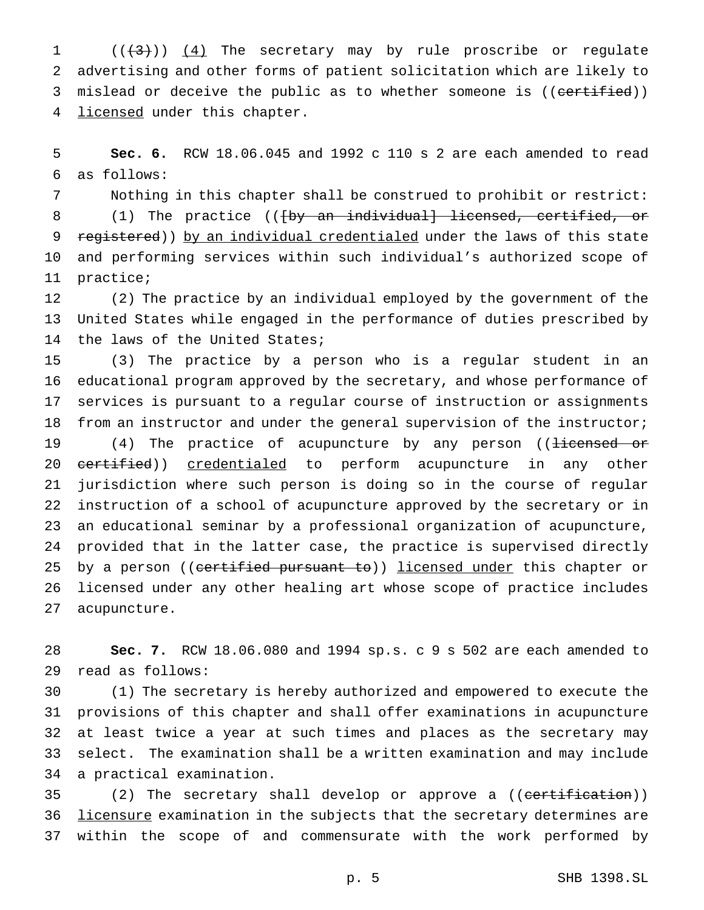1  $((+3))$   $(4)$  The secretary may by rule proscribe or regulate advertising and other forms of patient solicitation which are likely to 3 mislead or deceive the public as to whether someone is ((certified)) 4 licensed under this chapter.

 **Sec. 6.** RCW 18.06.045 and 1992 c 110 s 2 are each amended to read as follows:

 Nothing in this chapter shall be construed to prohibit or restrict: 8 (1) The practice (( $\frac{1}{2}$  an individual) licensed, certified, or 9 registered)) by an individual credentialed under the laws of this state and performing services within such individual's authorized scope of practice;

 (2) The practice by an individual employed by the government of the United States while engaged in the performance of duties prescribed by the laws of the United States;

 (3) The practice by a person who is a regular student in an educational program approved by the secretary, and whose performance of services is pursuant to a regular course of instruction or assignments from an instructor and under the general supervision of the instructor;

19 (4) The practice of acupuncture by any person ((<del>licensed or</del> 20 <del>certified</del>)) credentialed to perform acupuncture in any other jurisdiction where such person is doing so in the course of regular instruction of a school of acupuncture approved by the secretary or in an educational seminar by a professional organization of acupuncture, provided that in the latter case, the practice is supervised directly 25 by a person ((certified pursuant to)) licensed under this chapter or licensed under any other healing art whose scope of practice includes acupuncture.

 **Sec. 7.** RCW 18.06.080 and 1994 sp.s. c 9 s 502 are each amended to read as follows:

 (1) The secretary is hereby authorized and empowered to execute the provisions of this chapter and shall offer examinations in acupuncture at least twice a year at such times and places as the secretary may select. The examination shall be a written examination and may include a practical examination.

35 (2) The secretary shall develop or approve a ((certification)) 36 licensure examination in the subjects that the secretary determines are within the scope of and commensurate with the work performed by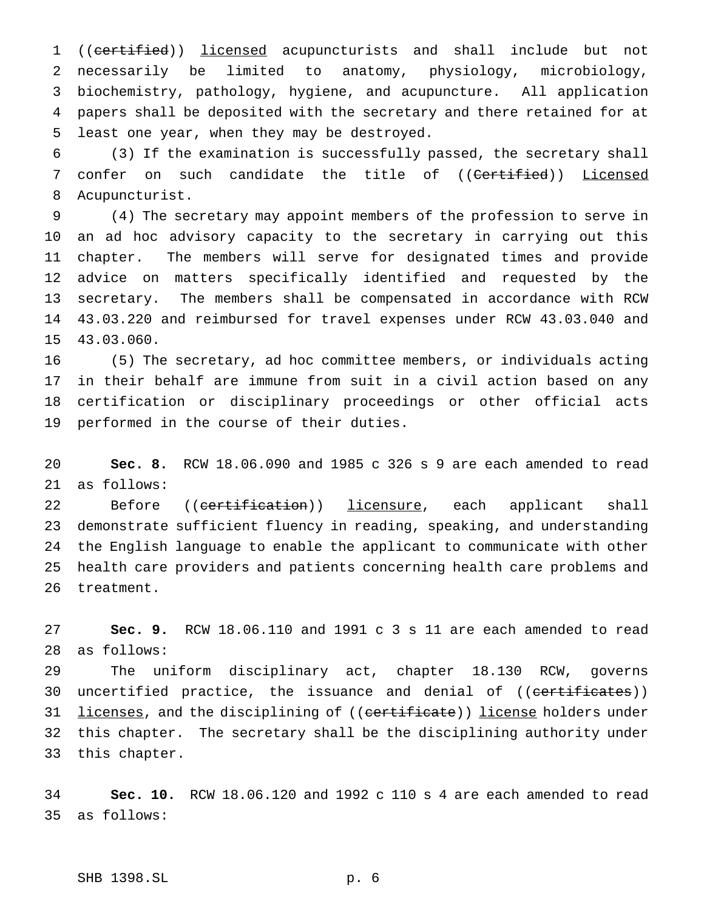1 ((certified)) licensed acupuncturists and shall include but not necessarily be limited to anatomy, physiology, microbiology, biochemistry, pathology, hygiene, and acupuncture. All application papers shall be deposited with the secretary and there retained for at least one year, when they may be destroyed.

 (3) If the examination is successfully passed, the secretary shall 7 confer on such candidate the title of ((<del>Certified</del>)) Licensed Acupuncturist.

 (4) The secretary may appoint members of the profession to serve in an ad hoc advisory capacity to the secretary in carrying out this chapter. The members will serve for designated times and provide advice on matters specifically identified and requested by the secretary. The members shall be compensated in accordance with RCW 43.03.220 and reimbursed for travel expenses under RCW 43.03.040 and 43.03.060.

 (5) The secretary, ad hoc committee members, or individuals acting in their behalf are immune from suit in a civil action based on any certification or disciplinary proceedings or other official acts performed in the course of their duties.

 **Sec. 8.** RCW 18.06.090 and 1985 c 326 s 9 are each amended to read as follows:

22 Before ((<del>certification</del>)) <u>licensure</u>, each applicant shall demonstrate sufficient fluency in reading, speaking, and understanding the English language to enable the applicant to communicate with other health care providers and patients concerning health care problems and treatment.

 **Sec. 9.** RCW 18.06.110 and 1991 c 3 s 11 are each amended to read as follows:

 The uniform disciplinary act, chapter 18.130 RCW, governs 30 uncertified practice, the issuance and denial of ((<del>certificates</del>)) 31 <u>licenses</u>, and the disciplining of ((certificate)) license holders under this chapter. The secretary shall be the disciplining authority under this chapter.

 **Sec. 10.** RCW 18.06.120 and 1992 c 110 s 4 are each amended to read as follows: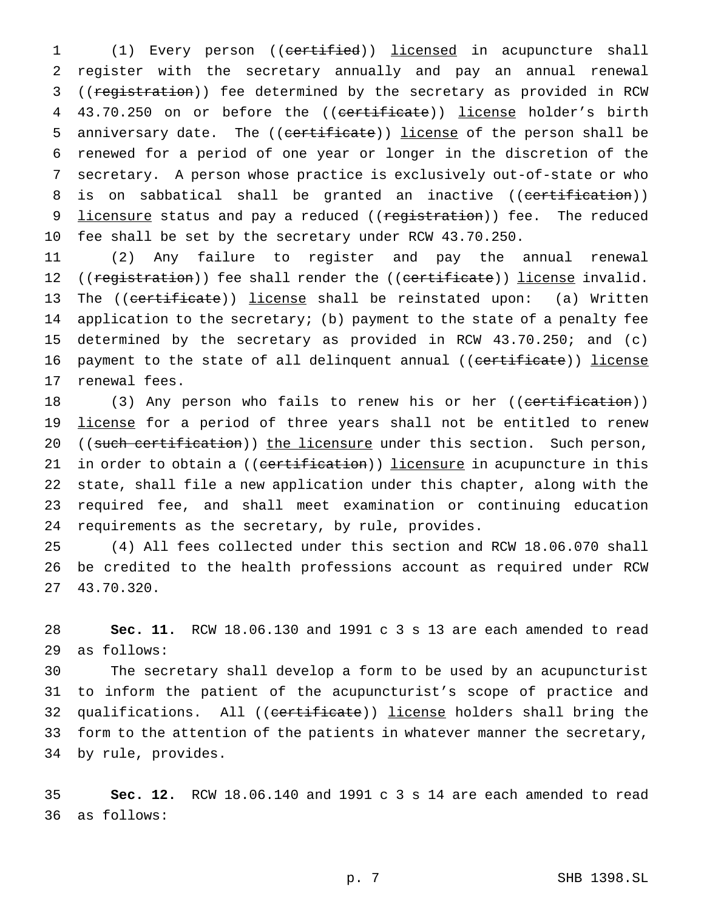1 (1) Every person ((certified)) licensed in acupuncture shall 2 register with the secretary annually and pay an annual renewal 3 ((registration)) fee determined by the secretary as provided in RCW 4 43.70.250 on or before the ((certificate)) license holder's birth 5 anniversary date. The ((certificate)) license of the person shall be 6 renewed for a period of one year or longer in the discretion of the 7 secretary. A person whose practice is exclusively out-of-state or who 8 is on sabbatical shall be granted an inactive ((certification)) 9 licensure status and pay a reduced ((registration)) fee. The reduced 10 fee shall be set by the secretary under RCW 43.70.250.

11 (2) Any failure to register and pay the annual renewal 12 ((registration)) fee shall render the ((certificate)) license invalid. 13 The ((certificate)) license shall be reinstated upon: (a) Written 14 application to the secretary; (b) payment to the state of a penalty fee 15 determined by the secretary as provided in RCW 43.70.250; and (c) 16 payment to the state of all delinquent annual ((certificate)) license 17 renewal fees.

18 (3) Any person who fails to renew his or her ((certification)) 19 license for a period of three years shall not be entitled to renew 20 ((such certification)) the licensure under this section. Such person, 21 in order to obtain a ((certification)) licensure in acupuncture in this 22 state, shall file a new application under this chapter, along with the 23 required fee, and shall meet examination or continuing education 24 requirements as the secretary, by rule, provides.

25 (4) All fees collected under this section and RCW 18.06.070 shall 26 be credited to the health professions account as required under RCW 27 43.70.320.

28 **Sec. 11.** RCW 18.06.130 and 1991 c 3 s 13 are each amended to read 29 as follows:

 The secretary shall develop a form to be used by an acupuncturist to inform the patient of the acupuncturist's scope of practice and 32 qualifications. All ((<del>certificate</del>)) license holders shall bring the form to the attention of the patients in whatever manner the secretary, by rule, provides.

35 **Sec. 12.** RCW 18.06.140 and 1991 c 3 s 14 are each amended to read 36 as follows: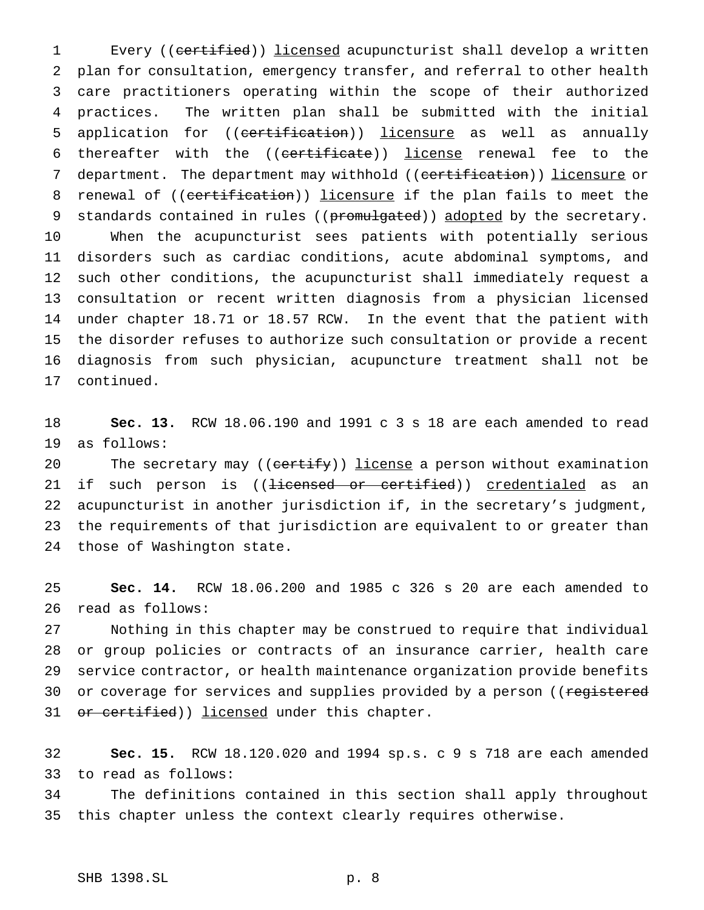1 Every ((certified)) licensed acupuncturist shall develop a written plan for consultation, emergency transfer, and referral to other health care practitioners operating within the scope of their authorized practices. The written plan shall be submitted with the initial 5 application for ((certification)) licensure as well as annually 6 thereafter with the ((certificate)) license renewal fee to the 7 department. The department may withhold ((certification)) licensure or 8 renewal of ((certification)) licensure if the plan fails to meet the 9 standards contained in rules ((promulgated)) adopted by the secretary. When the acupuncturist sees patients with potentially serious disorders such as cardiac conditions, acute abdominal symptoms, and such other conditions, the acupuncturist shall immediately request a consultation or recent written diagnosis from a physician licensed under chapter 18.71 or 18.57 RCW. In the event that the patient with the disorder refuses to authorize such consultation or provide a recent diagnosis from such physician, acupuncture treatment shall not be continued.

 **Sec. 13.** RCW 18.06.190 and 1991 c 3 s 18 are each amended to read as follows:

20 The secretary may ((certify)) license a person without examination 21 if such person is ((<del>licensed or certified</del>)) <u>credentialed</u> as an acupuncturist in another jurisdiction if, in the secretary's judgment, the requirements of that jurisdiction are equivalent to or greater than those of Washington state.

 **Sec. 14.** RCW 18.06.200 and 1985 c 326 s 20 are each amended to read as follows:

 Nothing in this chapter may be construed to require that individual or group policies or contracts of an insurance carrier, health care service contractor, or health maintenance organization provide benefits 30 or coverage for services and supplies provided by a person ((registered 31 or certified)) licensed under this chapter.

 **Sec. 15.** RCW 18.120.020 and 1994 sp.s. c 9 s 718 are each amended to read as follows:

 The definitions contained in this section shall apply throughout this chapter unless the context clearly requires otherwise.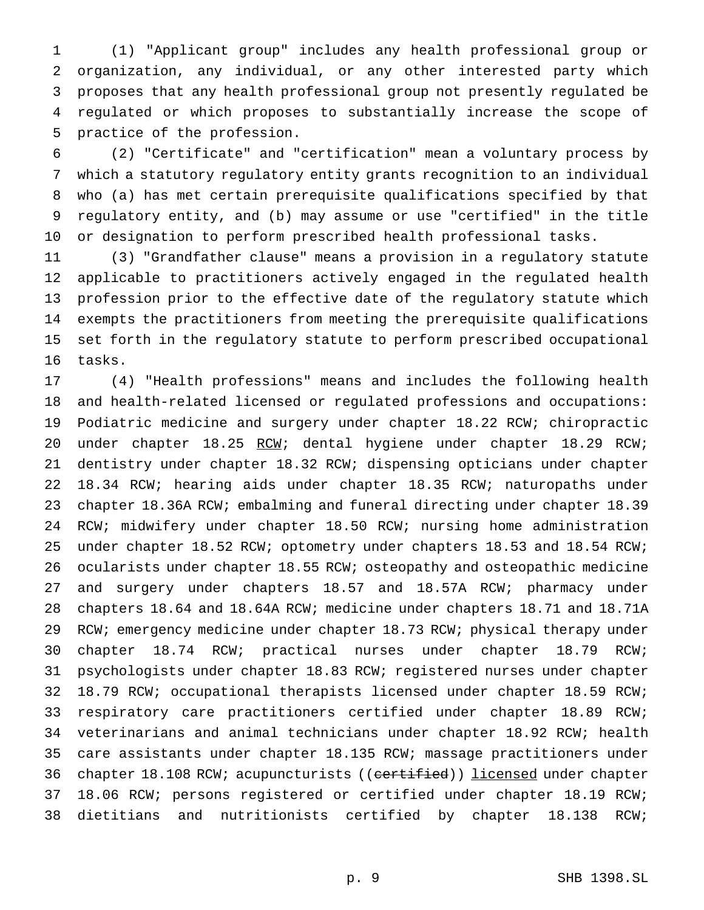(1) "Applicant group" includes any health professional group or organization, any individual, or any other interested party which proposes that any health professional group not presently regulated be regulated or which proposes to substantially increase the scope of practice of the profession.

 (2) "Certificate" and "certification" mean a voluntary process by which a statutory regulatory entity grants recognition to an individual who (a) has met certain prerequisite qualifications specified by that regulatory entity, and (b) may assume or use "certified" in the title or designation to perform prescribed health professional tasks.

 (3) "Grandfather clause" means a provision in a regulatory statute applicable to practitioners actively engaged in the regulated health profession prior to the effective date of the regulatory statute which exempts the practitioners from meeting the prerequisite qualifications set forth in the regulatory statute to perform prescribed occupational tasks.

 (4) "Health professions" means and includes the following health and health-related licensed or regulated professions and occupations: Podiatric medicine and surgery under chapter 18.22 RCW; chiropractic under chapter 18.25 RCW; dental hygiene under chapter 18.29 RCW; dentistry under chapter 18.32 RCW; dispensing opticians under chapter 18.34 RCW; hearing aids under chapter 18.35 RCW; naturopaths under chapter 18.36A RCW; embalming and funeral directing under chapter 18.39 RCW; midwifery under chapter 18.50 RCW; nursing home administration 25 under chapter 18.52 RCW; optometry under chapters 18.53 and 18.54 RCW; ocularists under chapter 18.55 RCW; osteopathy and osteopathic medicine and surgery under chapters 18.57 and 18.57A RCW; pharmacy under chapters 18.64 and 18.64A RCW; medicine under chapters 18.71 and 18.71A RCW; emergency medicine under chapter 18.73 RCW; physical therapy under chapter 18.74 RCW; practical nurses under chapter 18.79 RCW; psychologists under chapter 18.83 RCW; registered nurses under chapter 18.79 RCW; occupational therapists licensed under chapter 18.59 RCW; respiratory care practitioners certified under chapter 18.89 RCW; veterinarians and animal technicians under chapter 18.92 RCW; health care assistants under chapter 18.135 RCW; massage practitioners under 36 chapter 18.108 RCW; acupuncturists ((certified)) licensed under chapter 18.06 RCW; persons registered or certified under chapter 18.19 RCW; dietitians and nutritionists certified by chapter 18.138 RCW;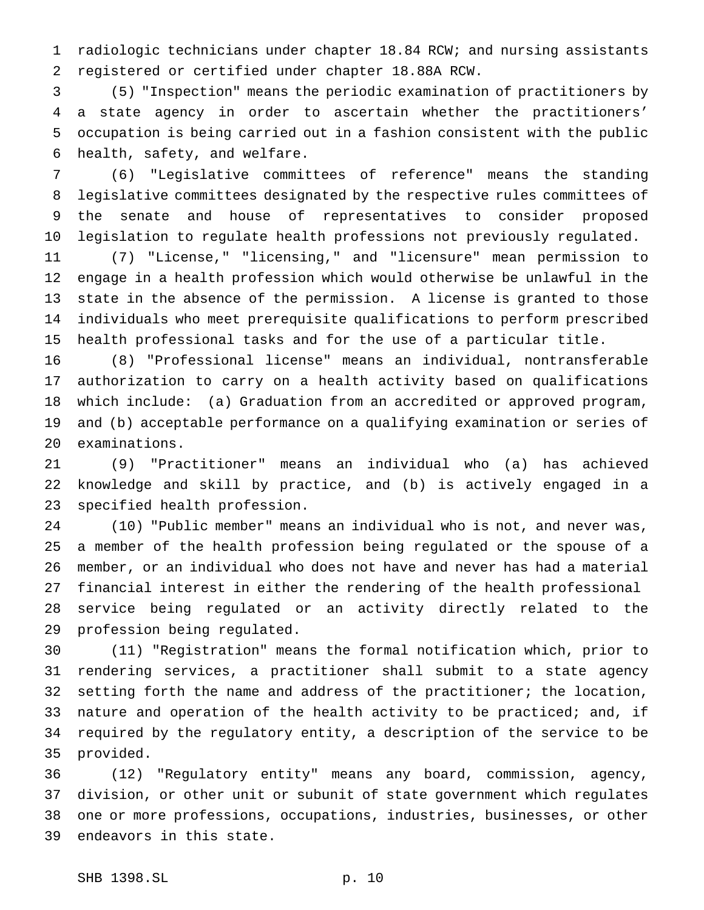radiologic technicians under chapter 18.84 RCW; and nursing assistants registered or certified under chapter 18.88A RCW.

 (5) "Inspection" means the periodic examination of practitioners by a state agency in order to ascertain whether the practitioners' occupation is being carried out in a fashion consistent with the public health, safety, and welfare.

 (6) "Legislative committees of reference" means the standing legislative committees designated by the respective rules committees of the senate and house of representatives to consider proposed legislation to regulate health professions not previously regulated.

 (7) "License," "licensing," and "licensure" mean permission to engage in a health profession which would otherwise be unlawful in the state in the absence of the permission. A license is granted to those individuals who meet prerequisite qualifications to perform prescribed health professional tasks and for the use of a particular title.

 (8) "Professional license" means an individual, nontransferable authorization to carry on a health activity based on qualifications which include: (a) Graduation from an accredited or approved program, and (b) acceptable performance on a qualifying examination or series of examinations.

 (9) "Practitioner" means an individual who (a) has achieved knowledge and skill by practice, and (b) is actively engaged in a specified health profession.

 (10) "Public member" means an individual who is not, and never was, a member of the health profession being regulated or the spouse of a member, or an individual who does not have and never has had a material financial interest in either the rendering of the health professional service being regulated or an activity directly related to the profession being regulated.

 (11) "Registration" means the formal notification which, prior to rendering services, a practitioner shall submit to a state agency 32 setting forth the name and address of the practitioner; the location, nature and operation of the health activity to be practiced; and, if required by the regulatory entity, a description of the service to be provided.

 (12) "Regulatory entity" means any board, commission, agency, division, or other unit or subunit of state government which regulates one or more professions, occupations, industries, businesses, or other endeavors in this state.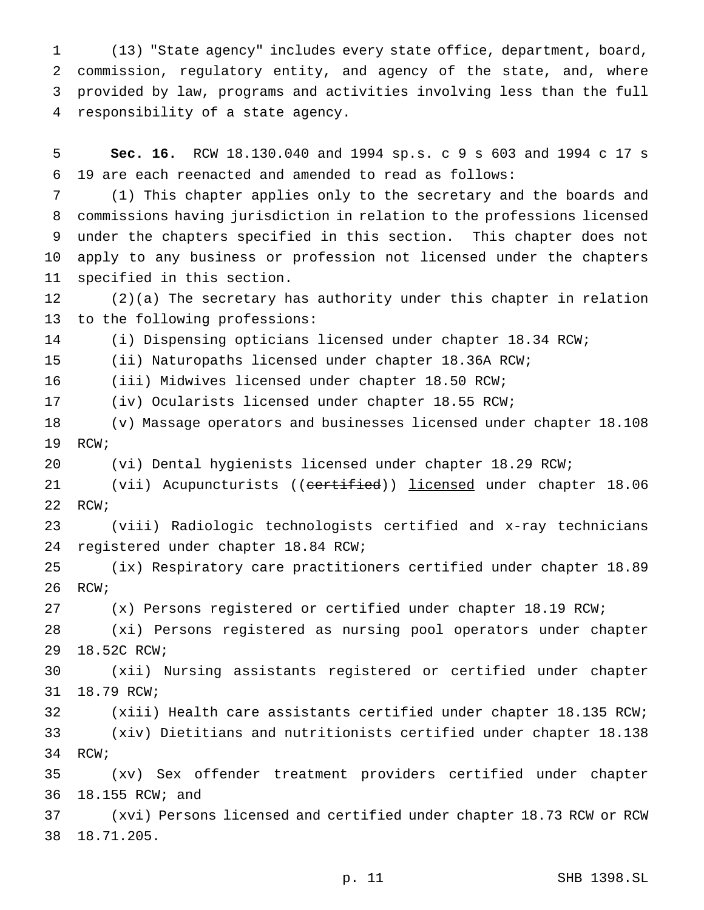(13) "State agency" includes every state office, department, board, commission, regulatory entity, and agency of the state, and, where provided by law, programs and activities involving less than the full responsibility of a state agency.

 **Sec. 16.** RCW 18.130.040 and 1994 sp.s. c 9 s 603 and 1994 c 17 s 19 are each reenacted and amended to read as follows:

 (1) This chapter applies only to the secretary and the boards and commissions having jurisdiction in relation to the professions licensed under the chapters specified in this section. This chapter does not apply to any business or profession not licensed under the chapters specified in this section.

 (2)(a) The secretary has authority under this chapter in relation to the following professions:

(i) Dispensing opticians licensed under chapter 18.34 RCW;

(ii) Naturopaths licensed under chapter 18.36A RCW;

(iii) Midwives licensed under chapter 18.50 RCW;

(iv) Ocularists licensed under chapter 18.55 RCW;

 (v) Massage operators and businesses licensed under chapter 18.108 RCW;

(vi) Dental hygienists licensed under chapter 18.29 RCW;

21 (vii) Acupuncturists ((certified)) licensed under chapter 18.06 RCW;

 (viii) Radiologic technologists certified and x-ray technicians registered under chapter 18.84 RCW;

 (ix) Respiratory care practitioners certified under chapter 18.89 RCW;

(x) Persons registered or certified under chapter 18.19 RCW;

 (xi) Persons registered as nursing pool operators under chapter 18.52C RCW;

 (xii) Nursing assistants registered or certified under chapter 18.79 RCW;

 (xiii) Health care assistants certified under chapter 18.135 RCW; (xiv) Dietitians and nutritionists certified under chapter 18.138 RCW;

 (xv) Sex offender treatment providers certified under chapter 18.155 RCW; and

 (xvi) Persons licensed and certified under chapter 18.73 RCW or RCW 18.71.205.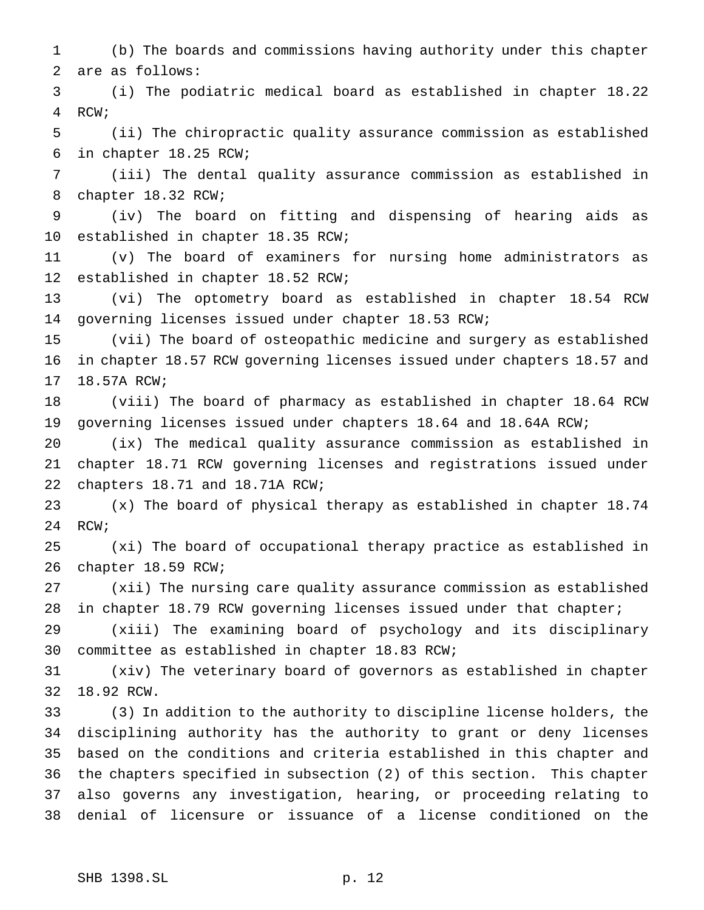(b) The boards and commissions having authority under this chapter are as follows:

 (i) The podiatric medical board as established in chapter 18.22 RCW;

 (ii) The chiropractic quality assurance commission as established in chapter 18.25 RCW;

 (iii) The dental quality assurance commission as established in chapter 18.32 RCW;

 (iv) The board on fitting and dispensing of hearing aids as established in chapter 18.35 RCW;

 (v) The board of examiners for nursing home administrators as established in chapter 18.52 RCW;

 (vi) The optometry board as established in chapter 18.54 RCW governing licenses issued under chapter 18.53 RCW;

 (vii) The board of osteopathic medicine and surgery as established in chapter 18.57 RCW governing licenses issued under chapters 18.57 and 18.57A RCW;

 (viii) The board of pharmacy as established in chapter 18.64 RCW governing licenses issued under chapters 18.64 and 18.64A RCW;

 (ix) The medical quality assurance commission as established in chapter 18.71 RCW governing licenses and registrations issued under chapters 18.71 and 18.71A RCW;

 (x) The board of physical therapy as established in chapter 18.74 RCW;

 (xi) The board of occupational therapy practice as established in chapter 18.59 RCW;

 (xii) The nursing care quality assurance commission as established in chapter 18.79 RCW governing licenses issued under that chapter;

 (xiii) The examining board of psychology and its disciplinary committee as established in chapter 18.83 RCW;

 (xiv) The veterinary board of governors as established in chapter 18.92 RCW.

 (3) In addition to the authority to discipline license holders, the disciplining authority has the authority to grant or deny licenses based on the conditions and criteria established in this chapter and the chapters specified in subsection (2) of this section. This chapter also governs any investigation, hearing, or proceeding relating to denial of licensure or issuance of a license conditioned on the